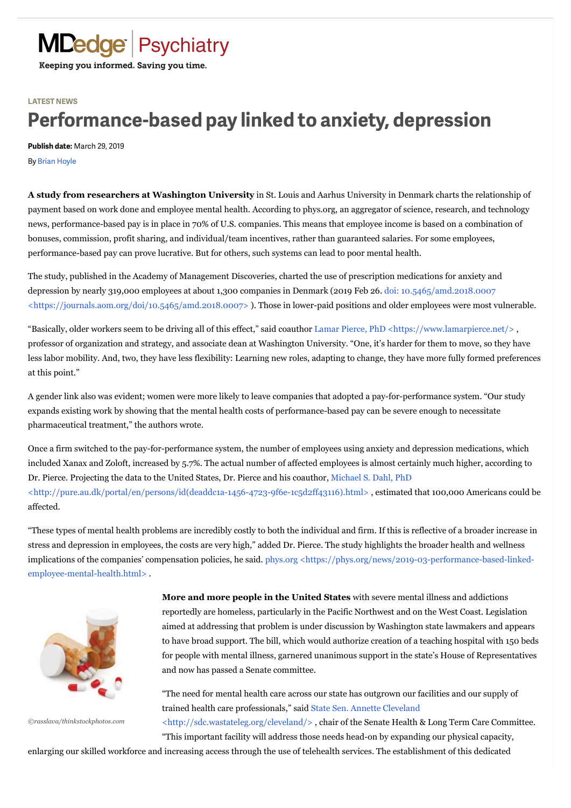## **LATEST NEWS**

## **Performance-based pay linked to anxiety, depression**

**Publish date:** March 29, 2019

By [Brian Hoyle](https://www.mdedge.com/authors/brian-hoyle)

**A study from researchers at Washington University** in St. Louis and Aarhus University in Denmark charts the relationship of payment based on work done and employee mental health. According to phys.org, an aggregator of science, research, and technology news, performance-based pay is in place in 70% of U.S. companies. This means that employee income is based on a combination of bonuses, commission, profit sharing, and individual/team incentives, rather than guaranteed salaries. For some employees, performance-based pay can prove lucrative. But for others, such systems can lead to poor mental health.

The study, published in the Academy of Management Discoveries, charted the use of prescription medications for anxiety and depression by nearly 319,000 employees at about 1,300 companies in Denmark (2019 Feb 26. doi: 10.5465/amd.2018.0007 [<https://journals.aom.org/doi/10.5465/amd.2018.0007> \). Those in lower-paid positions and older employees were most v](https://journals.aom.org/doi/10.5465/amd.2018.0007)ulnerable.

"Basically, older workers seem to be driving all of this effect," said coauthor Lamar Pierce, PhD <https://www.lamarpierce.net/>, professor of organization and strategy, and associate dean at Washington University. "One, it's harder for them to move, so they have less labor mobility. And, two, they have less flexibility: Learning new roles, adapting to change, they have more fully formed preferences at this point."

A gender link also was evident; women were more likely to leave companies that adopted a pay-for-performance system. "Our study expands existing work by showing that the mental health costs of performance-based pay can be severe enough to necessitate pharmaceutical treatment," the authors wrote.

Once a firm switched to the pay-for-performance system, the number of employees using anxiety and depression medications, which included Xanax and Zoloft, increased by 5.7%. The actual number of affected employees is almost certainly much higher, according to [Dr. Pierce. Projecting the data to the United States, Dr. Pierce and his coauthor, Michael S. Dahl, PhD](http://pure.au.dk/portal/en/persons/id(deaddc1a-1456-4723-9f6e-1c5d2ff43116).html) <http://pure.au.dk/portal/en/persons/id(deaddc1a-1456-4723-9f6e-1c5d2ff43116).html> , estimated that 100,000 Americans could be affected.

"These types of mental health problems are incredibly costly to both the individual and firm. If this is reflective of a broader increase in stress and depression in employees, the costs are very high," added Dr. Pierce. The study highlights the broader health and wellness [implications of the companies' compensation policies, he said. phys.org <https://phys.org/news/2019-03-performance-based-linked](https://phys.org/news/2019-03-performance-based-linked-employee-mental-health.html)employee-mental-health.html> .



*©rasslava/thinkstockphotos.com*

**More and more people in the United States** with severe mental illness and addictions reportedly are homeless, particularly in the Pacific Northwest and on the West Coast. Legislation aimed at addressing that problem is under discussion by Washington state lawmakers and appears to have broad support. The bill, which would authorize creation of a teaching hospital with 150 beds for people with mental illness, garnered unanimous support in the state's House of Representatives and now has passed a Senate committee.

"The need for mental health care across our state has outgrown our facilities and our supply of [trained health care professionals," said State Sen. Annette Cleveland](http://sdc.wastateleg.org/cleveland/)

<http://sdc.wastateleg.org/cleveland/> , chair of the Senate Health & Long Term Care Committee. "This important facility will address those needs head-on by expanding our physical capacity,

enlarging our skilled workforce and increasing access through the use of telehealth services. The establishment of this dedicated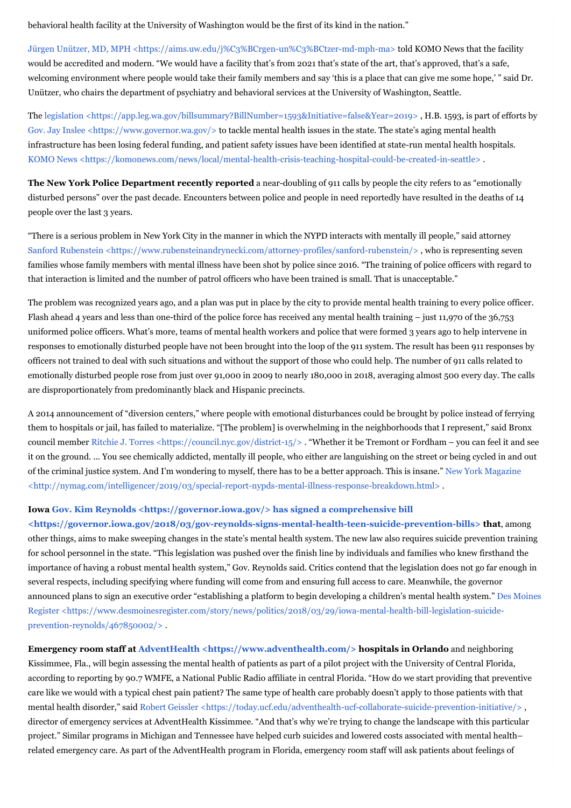behavioral health facility at the University of Washington would be the first of its kind in the nation."

[Jürgen Unützer, MD, MPH <https://aims.uw.edu/j%C3%BCrgen-un%C3%BCtzer-md-mph-ma> t](https://aims.uw.edu/j%C3%BCrgen-un%C3%BCtzer-md-mph-ma)old KOMO News that the facility would be accredited and modern. "We would have a facility that's from 2021 that's state of the art, that's approved, that's a safe, welcoming environment where people would take their family members and say 'this is a place that can give me some hope,' " said Dr. Unützer, who chairs the department of psychiatry and behavioral services at the University of Washington, Seattle.

The legislation <https://app.leg.wa.gov/billsummary?BillNumber=1593&Initiative=false&Year=2019>, H.B. 1593, is part of efforts by [Gov. Jay Inslee <https://www.governor.wa.gov/>](https://www.governor.wa.gov/) to tackle mental health issues in the state. The state's aging mental health infrastructure has been losing federal funding, and patient safety issues have been identified at state-run mental health hospitals. [KOMO News <https://komonews.com/news/local/mental-health-crisis-teaching-hospital-could-be-created-in-seattle> .](https://komonews.com/news/local/mental-health-crisis-teaching-hospital-could-be-created-in-seattle)

**The New York Police Department recently reported** a near-doubling of 911 calls by people the city refers to as "emotionally disturbed persons" over the past decade. Encounters between police and people in need reportedly have resulted in the deaths of 14 people over the last 3 years.

"There is a serious problem in New York City in the manner in which the NYPD interacts with mentally ill people," said attorney Sanford Rubenstein <https://www.rubensteinandrynecki.com/attorney-profiles/sanford-rubenstein/>, who is representing seven families whose family members with mental illness have been shot by police since 2016. "The training of police officers with regard to that interaction is limited and the number of patrol officers who have been trained is small. That is unacceptable."

The problem was recognized years ago, and a plan was put in place by the city to provide mental health training to every police officer. Flash ahead 4 years and less than one-third of the police force has received any mental health training – just 11,970 of the 36,753 uniformed police officers. What's more, teams of mental health workers and police that were formed 3 years ago to help intervene in responses to emotionally disturbed people have not been brought into the loop of the 911 system. The result has been 911 responses by officers not trained to deal with such situations and without the support of those who could help. The number of 911 calls related to emotionally disturbed people rose from just over 91,000 in 2009 to nearly 180,000 in 2018, averaging almost 500 every day. The calls are disproportionately from predominantly black and Hispanic precincts.

A 2014 announcement of "diversion centers," where people with emotional disturbances could be brought by police instead of ferrying them to hospitals or jail, has failed to materialize. "[The problem] is overwhelming in the neighborhoods that I represent," said Bronx council member Ritchie J. Torres <https://council.nyc.gov/district-15/>. "Whether it be Tremont or Fordham – you can feel it and see it on the ground. ... You see chemically addicted, mentally ill people, who either are languishing on the street or being cycled in and out [of the criminal justice system. And I'm wondering to myself, there has to be a better approach. This is insane." New York Magazine](http://nymag.com/intelligencer/2019/03/special-report-nypds-mental-illness-response-breakdown.html) <http://nymag.com/intelligencer/2019/03/special-report-nypds-mental-illness-response-breakdown.html>

## **Iowa [Gov. Kim Reynolds <https://governor.iowa.gov/> h](https://governor.iowa.gov/)as signed a comprehensive bill**

**[<https://governor.iowa.gov/2018/03/gov-reynolds-signs-mental-health-teen-suicide-prevention-bills> t](https://governor.iowa.gov/2018/03/gov-reynolds-signs-mental-health-teen-suicide-prevention-bills)hat**, among other things, aims to make sweeping changes in the state's mental health system. The new law also requires suicide prevention training for school personnel in the state. "This legislation was pushed over the finish line by individuals and families who knew firsthand the importance of having a robust mental health system," Gov. Reynolds said. Critics contend that the legislation does not go far enough in several respects, including specifying where funding will come from and ensuring full access to care. Meanwhile, the governor [announced plans to sign an executive order "establishing a platform to begin developing a children's mental health system." Des Moines](https://www.desmoinesregister.com/story/news/politics/2018/03/29/iowa-mental-health-bill-legislation-suicide-prevention-reynolds/467850002/) Register <https://www.desmoinesregister.com/story/news/politics/2018/03/29/iowa-mental-health-bill-legislation-suicideprevention-reynolds/467850002/> .

**Emergency room staff at [AdventHealth <https://www.adventhealth.com/>](https://www.adventhealth.com/) hospitals in Orlando** and neighboring Kissimmee, Fla., will begin assessing the mental health of patients as part of a pilot project with the University of Central Florida, according to reporting by 90.7 WMFE, a National Public Radio affiliate in central Florida. "How do we start providing that preventive care like we would with a typical chest pain patient? The same type of health care probably doesn't apply to those patients with that mental health disorder," said Robert Geissler <https://today.ucf.edu/adventhealth-ucf-collaborate-suicide-prevention-initiative/>, director of emergency services at AdventHealth Kissimmee. "And that's why we're trying to change the landscape with this particular project." Similar programs in Michigan and Tennessee have helped curb suicides and lowered costs associated with mental health– related emergency care. As part of the AdventHealth program in Florida, emergency room staff will ask patients about feelings of